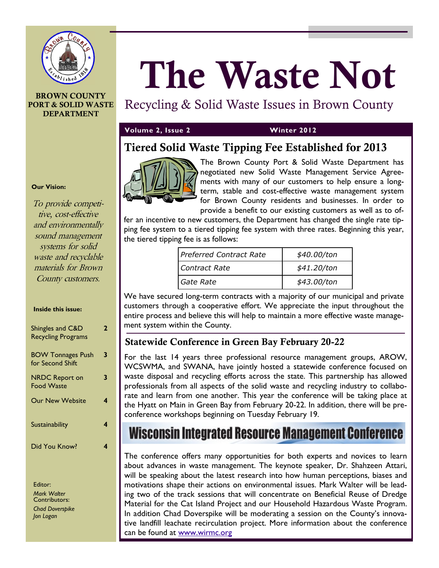

### **BROWN COUNTY PORT & SOLID WASTE DEPARTMENT**

#### **Our Vision:**

To provide competitive, cost-effective and environmentally sound management systems for solid waste and recyclable materials for Brown County customers.

#### **Inside this issue:**

| Shingles and C&D<br><b>Recycling Programs</b> | 2 |
|-----------------------------------------------|---|
| <b>BOW Tonnages Push</b><br>for Second Shift  | 3 |
| <b>NRDC Report on</b><br><b>Food Waste</b>    | 3 |
| <b>Our New Website</b>                        | 4 |
| Sustainability                                |   |
| Did You Know?                                 |   |

Editor: *Mark Walter* Contributors: *Chad Doverspike Jon Logan*

# **The Waste Not**

## Recycling & Solid Waste Issues in Brown County

## **Volume 2, Issue 2 Winter 2012**

## **Tiered Solid Waste Tipping Fee Established for 2013**



The Brown County Port & Solid Waste Department has negotiated new Solid Waste Management Service Agreements with many of our customers to help ensure a longterm, stable and cost-effective waste management system for Brown County residents and businesses. In order to provide a benefit to our existing customers as well as to of-

fer an incentive to new customers, the Department has changed the single rate tipping fee system to a tiered tipping fee system with three rates. Beginning this year, the tiered tipping fee is as follows:

| Preferred Contract Rate | \$40.00/ton |
|-------------------------|-------------|
| Contract Rate           | \$41.20/ton |
| Gate Rate               | \$43.00/ton |

We have secured long-term contracts with a majority of our municipal and private customers through a cooperative effort. We appreciate the input throughout the entire process and believe this will help to maintain a more effective waste management system within the County.

## **Statewide Conference in Green Bay February 20-22**

For the last 14 years three professional resource management groups, AROW, WCSWMA, and SWANA, have jointly hosted a statewide conference focused on waste disposal and recycling efforts across the state. This partnership has allowed professionals from all aspects of the solid waste and recycling industry to collaborate and learn from one another. This year the conference will be taking place at the Hyatt on Main in Green Bay from February 20-22. In addition, there will be preconference workshops beginning on Tuesday February 19.

# Wisconsin Integrated Resource Management Conference

The conference offers many opportunities for both experts and novices to learn about advances in waste management. The keynote speaker, Dr. Shahzeen Attari, will be speaking about the latest research into how human perceptions, biases and motivations shape their actions on environmental issues. Mark Walter will be leading two of the track sessions that will concentrate on Beneficial Reuse of Dredge Material for the Cat Island Project and our Household Hazardous Waste Program. In addition Chad Doverspike will be moderating a session on the County's innovative landfill leachate recirculation project. More information about the conference can be found at [www.wirmc.org](http://www.wirmc.org)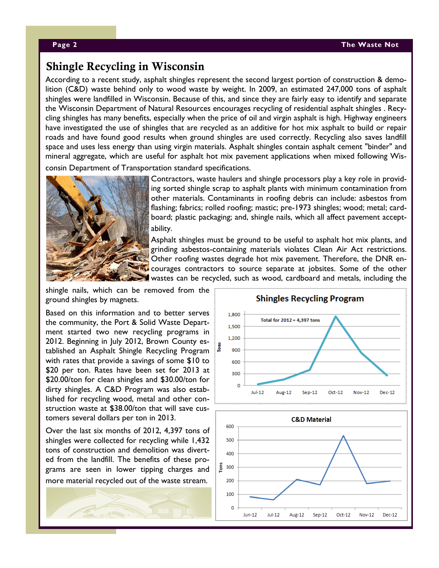#### **Page 2 The Waste Not**

## **Shingle Recycling in Wisconsin**

According to a recent study, asphalt shingles represent the second largest portion of construction & demolition (C&D) waste behind only to wood waste by weight. In 2009, an estimated 247,000 tons of asphalt shingles were landfilled in Wisconsin. Because of this, and since they are fairly easy to identify and separate the Wisconsin Department of Natural Resources encourages recycling of residential asphalt shingles . Recycling shingles has many benefits, especially when the price of oil and virgin asphalt is high. Highway engineers have investigated the use of shingles that are recycled as an additive for hot mix asphalt to build or repair roads and have found good results when ground shingles are used correctly. Recycling also saves landfill space and uses less energy than using virgin materials. Asphalt shingles contain asphalt cement "binder" and mineral aggregate, which are useful for asphalt hot mix pavement applications when mixed following Wisconsin Department of Transportation standard specifications.



Contractors, waste haulers and shingle processors play a key role in providing sorted shingle scrap to asphalt plants with minimum contamination from other materials. Contaminants in roofing debris can include: asbestos from flashing; fabrics; rolled roofing; mastic; pre-1973 shingles; wood; metal; cardboard; plastic packaging; and, shingle nails, which all affect pavement acceptability.

Asphalt shingles must be ground to be useful to asphalt hot mix plants, and grinding asbestos-containing materials violates Clean Air Act restrictions. Other roofing wastes degrade hot mix pavement. Therefore, the DNR en-**Re** courages contractors to source separate at jobsites. Some of the other wastes can be recycled, such as wood, cardboard and metals, including the

shingle nails, which can be removed from the ground shingles by magnets.

Based on this information and to better serves the community, the Port & Solid Waste Department started two new recycling programs in 2012. Beginning in July 2012, Brown County established an Asphalt Shingle Recycling Program with rates that provide a savings of some \$10 to \$20 per ton. Rates have been set for 2013 at \$20.00/ton for clean shingles and \$30.00/ton for dirty shingles. A C&D Program was also established for recycling wood, metal and other construction waste at \$38.00/ton that will save customers several dollars per ton in 2013.

Over the last six months of 2012, 4,397 tons of shingles were collected for recycling while 1,432 tons of construction and demolition was diverted from the landfill. The benefits of these programs are seen in lower tipping charges and more material recycled out of the waste stream.



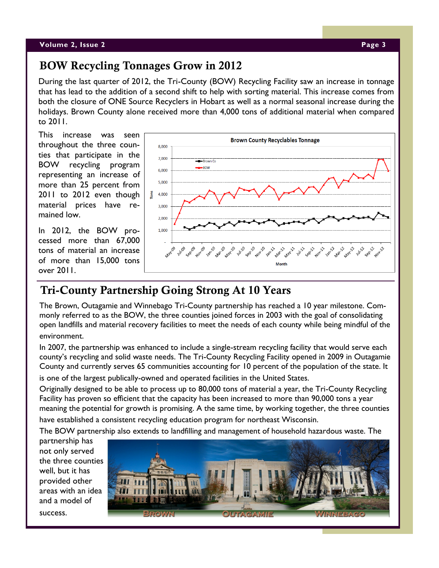#### **Volume 2, Issue 2 Page 3**

## **BOW Recycling Tonnages Grow in 2012**

During the last quarter of 2012, the Tri-County (BOW) Recycling Facility saw an increase in tonnage that has lead to the addition of a second shift to help with sorting material. This increase comes from both the closure of ONE Source Recyclers in Hobart as well as a normal seasonal increase during the holidays. Brown County alone received more than 4,000 tons of additional material when compared to 2011.

This increase was seen throughout the three counties that participate in the BOW recycling program representing an increase of more than 25 percent from 2011 to 2012 even though material prices have remained low.

In 2012, the BOW processed more than 67,000 tons of material an increase of more than 15,000 tons over 2011.



## **Tri-County Partnership Going Strong At 10 Years**

The Brown, Outagamie and Winnebago Tri-County partnership has reached a 10 year milestone. Commonly referred to as the BOW, the three counties joined forces in 2003 with the goal of consolidating open landfills and material recovery facilities to meet the needs of each county while being mindful of the environment.

In 2007, the partnership was enhanced to include a single-stream recycling facility that would serve each county's recycling and solid waste needs. The Tri-County Recycling Facility opened in 2009 in Outagamie County and currently serves 65 communities accounting for 10 percent of the population of the state. It

is one of the largest publically-owned and operated facilities in the United States.

Originally designed to be able to process up to 80,000 tons of material a year, the Tri-County Recycling Facility has proven so efficient that the capacity has been increased to more than 90,000 tons a year meaning the potential for growth is promising. A the same time, by working together, the three counties have established a consistent recycling education program for northeast Wisconsin.

The BOW partnership also extends to landfilling and management of household hazardous waste. The

partnership has not only served the three counties well, but it has provided other areas with an idea and a model of success.